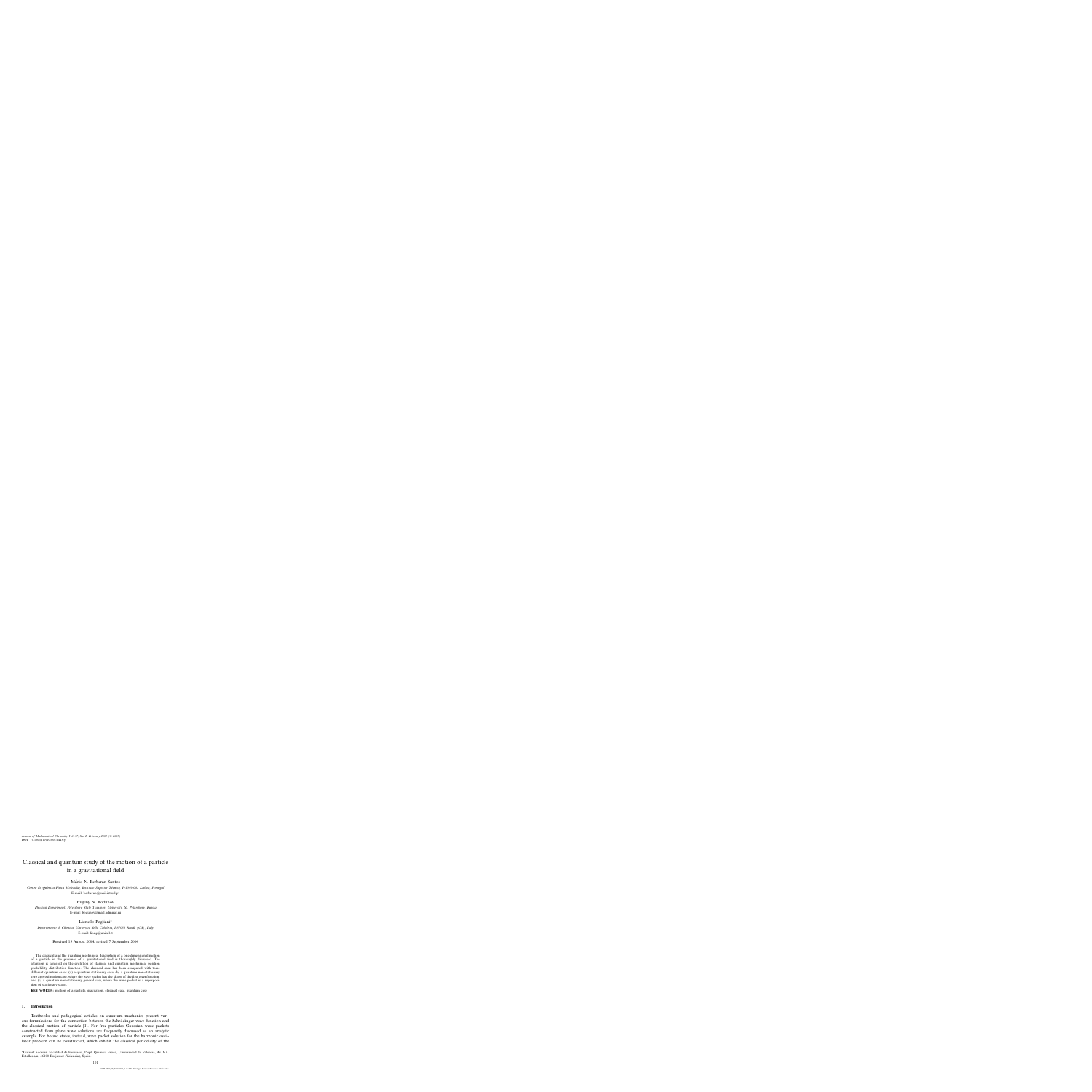# Classical and quantum study of the motion of a particle in a gravitational field

Mário N. Berberan-Santos

*Centro de Qu´ımica-F´ısica Molecular, Instituto Superior Tecnico, P-1049-001 Lisboa, Portugal ´* E-mail: berberan@mail.ist.utl.pt

Evgeny N. Bodunov

*Physical Department, Petersburg State Transport University, St. Petersburg, Russia* E-mail: bodunov@mail.admiral.ru

## Lionello Pogliani<sup>∗</sup>

*Dipartimento di Chimica, Universita della Calabria, I-87030 Rende (CS), Italy ´* E-mail: lionp@unical.it

Received 13 August 2004; revised 7 September 2004

The classical and the quantum mechanical description of a one-dimensional motion of a particle in the presence of a gravitational field is thoroughly discussed. The attention is centered on the evolution of classical and quantum mechanical position probability distribution function. The classical case has been compared with three different quantum cases: (a) a quantum stationary case, (b) a quantum non-stationary zero approximation case, where the wave packet has the shape of the first eigenfunction, and (c) a quantum non-stationary general case, where the wave packet is a superposition of stationary states.

**KEY WORDS:** motion of a particle, gravitation, classical case, quantum case

## **1. Introduction**

Textbooks and pedagogical articles on quantum mechanics present various formulations for the connection between the Schrödinger wave function and the classical motion of particle [1]. For free particles Gaussian wave packets constructed from plane wave solutions are frequently discussed as an analytic example. For bound states, instead, wave packet solution for the harmonic oscillator problem can be constructed, which exhibit the classical periodicity of the

<sup>∗</sup>Current address: Faculdad de Farmacia, Dept. Quimica Fisica, Universidad de Valencia, Av. V.A. Estelles s/n, 46100 Burjassot (Valencia), Spain.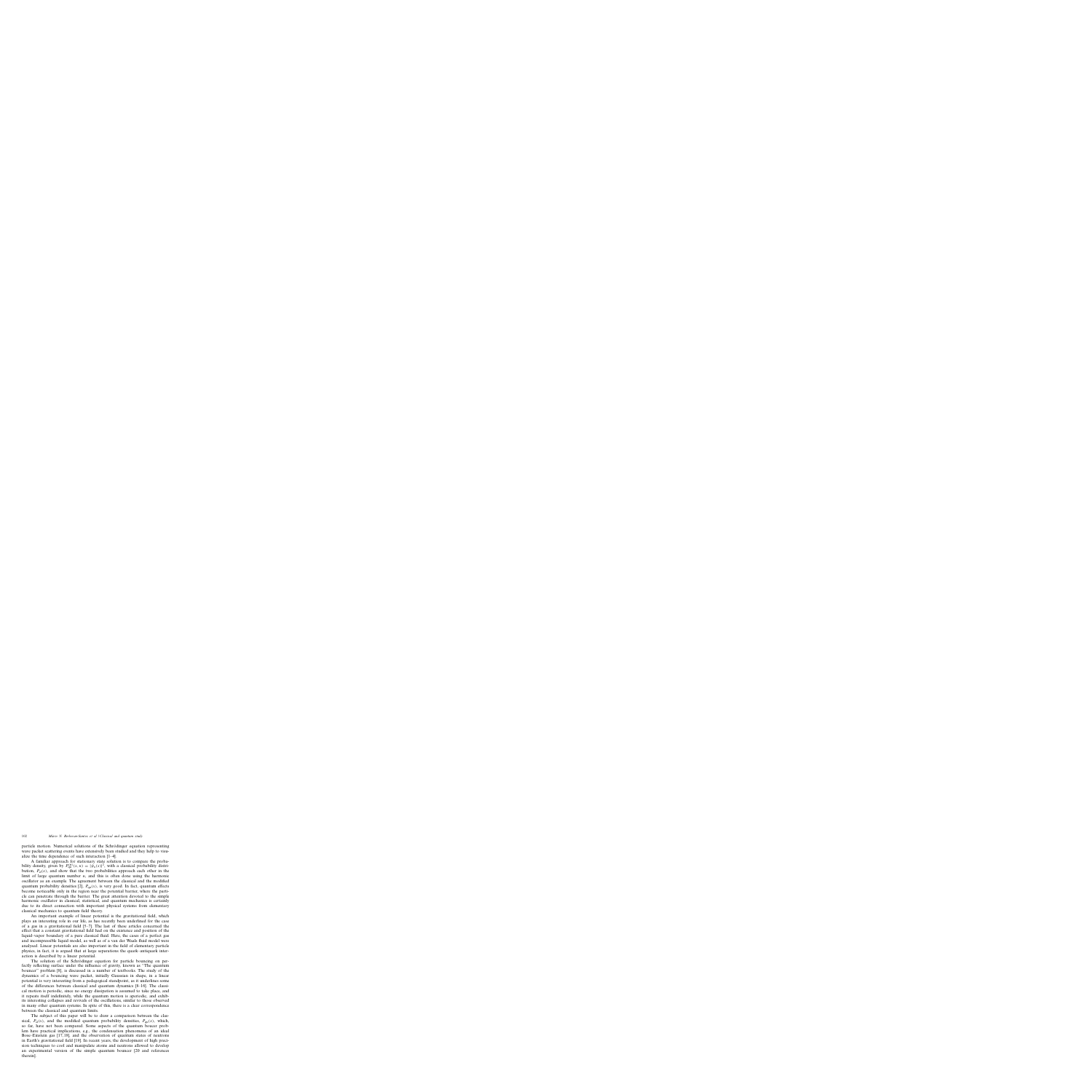particle motion. Numerical solutions of the Schrödinger equation representing wave packet scattering events have extensively been studied and they help to visualize the time dependence of such interaction [1–4].

A familiar approach for stationary state solution is to compare the probability density, given by  $P_{qu}^{(st)}(x, n) = |\psi_n(x)|^2$ , with a classical probability distri-<br>bution  $P_1(x)$  and show that the two probabilities approach each other in the  $q_u^{\text{qu}}(x, n) = |\psi_n(x)|$ <br>that the two prob bution,  $P_{cl}(x)$ , and show that the two probabilities approach each other in the limit of large quantum number  $n_i$  and this is often done using the harmonic limit of large quantum number *n*, and this is often done using the harmonic oscillator as an example. The agreement between the classical and the modified quantum probability densities [2],  $P_{\text{qu}}(x)$ , is very good. In fact, quantum effects become noticeable only in the region near the potential barrier, where the particle can penetrate through the barrier. The great attention devoted to the simple harmonic oscillator in classical, statistical, and quantum mechanics is certainly due to its direct connection with important physical systems from elementary classical mechanics to quantum field theory.

An important example of linear potential is the gravitational field, which plays an interesting role in our life, as has recently been underlined for the case of a gas in a gravitational field [5–7]. The last of these articles concerned the effect that a constant gravitational field had on the existence and position of the liquid–vapor boundary of a pure classical fluid. Here, the cases of a perfect gas and incompressible liquid model, as well as of a van der Waals fluid model were analysed. Linear potentials are also important in the field of elementary particle physics, in fact, it is argued that at large separations the quark–antiquark interaction is described by a linear potential.

The solution of the Schrödinger equation for particle bouncing on perfectly reflecting surface under the influence of gravity, known as "The quantum bouncer" problem [8], is discussed in a number of textbooks. The study of the dynamics of a bouncing wave packet, initially Gaussian in shape, in a linear potential is very interesting from a pedagogical standpoint, as it underlines some of the differences between classical and quantum dynamics [8–16]. The classical motion is periodic, since no energy dissipation is assumed to take place, and it repeats itself indefinitely, while the quantum motion is aperiodic, and exhibits interesting collapses and revivals of the oscillations, similar to those observed in many other quantum systems. In spite of this, there is a clear correspondence between the classical and quantum limits.

The subject of this paper will be to draw a comparison between the classical,  $P_{\text{cl}}(x)$ , and the modified quantum probability densities,  $P_{\text{qu}}(x)$ , which, so far, have not been compared. Some aspects of the quantum boucer problem have practical implications, e.g., the condensation phenomena of an ideal Bose–Einstein gas [17, 18], and the observation of quantum states of neutrons in Earth's gravitational field [19]. In recent years, the development of high precision techniques to cool and manipulate atoms and neutrons allowed to develop an experimental version of the simple quantum bouncer [20 and references therein].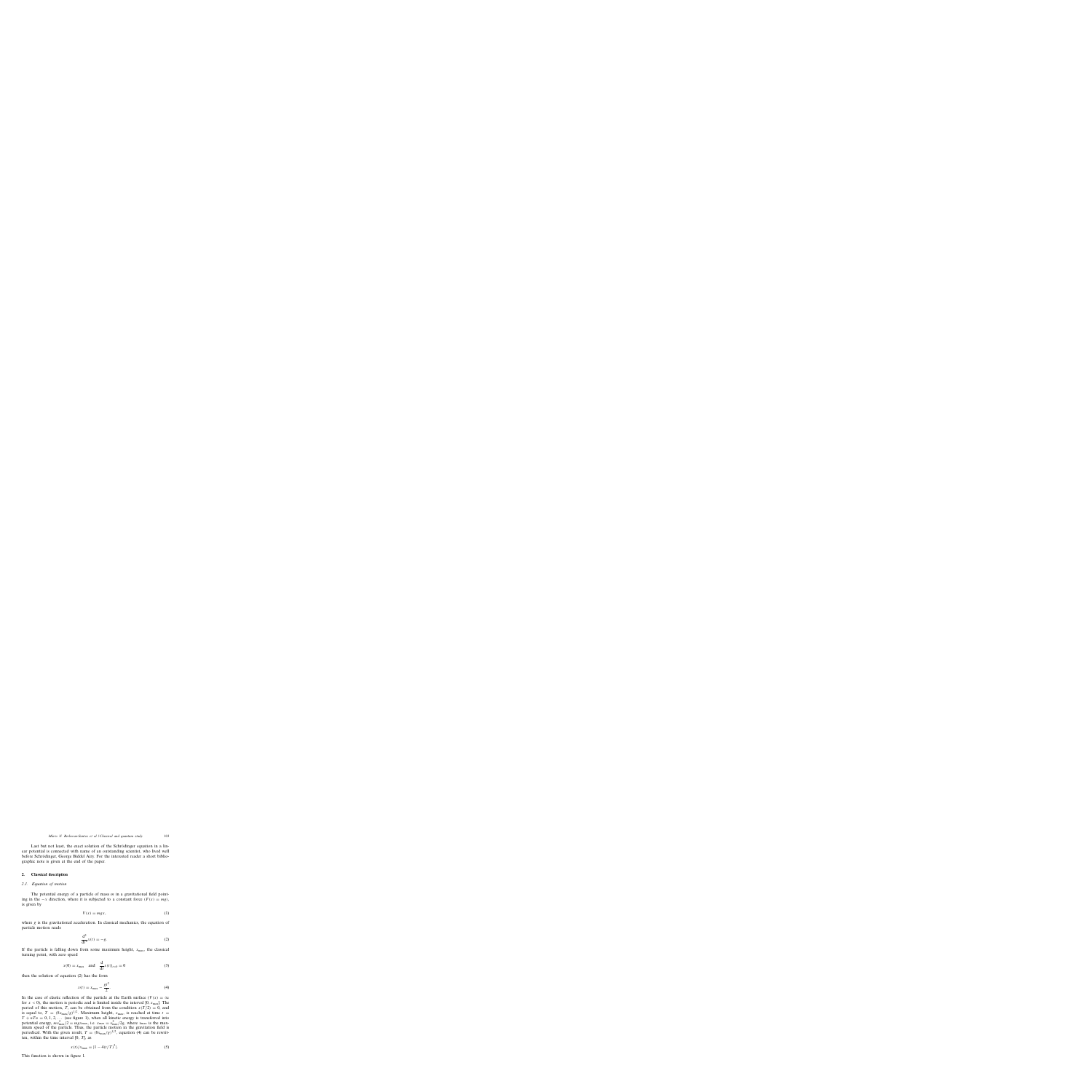Last but not least, the exact solution of the Schrödinger equation in a linear potential is connected with name of an outstanding scientist, who lived well before Schrödinger, George Biddel Airy. For the interested reader a short bibliographic note is given at the end of the paper.

## **2. Classical description**

#### *2.1. Equation of motion*

The potential energy of a particle of mass *m* in a gravitational field pointing in the  $-x$  direction, where it is subjected to a constant force  $(F(x) = mg)$ , is given by

$$
V(x) = mgx,\tag{1}
$$

where *g* is the gravitational acceleration. In classical mechanics, the equation of particle motion reads

$$
\frac{\mathrm{d}^2}{\mathrm{d}t^2}x(t) = -g.\tag{2}
$$

If the particle is falling down from some maximum height,  $x_{\text{max}}$ , the classical turning point, with zero speed

$$
x(0) = x_{\text{max}}
$$
 and  $\frac{d}{dt}x(t)|_{t=0} = 0$  (3)

then the solution of equation (2) has the form

$$
x(t) = x_{\text{max}} - \frac{gt^2}{2}.
$$
 (4)

In the case of elastic reflection of the particle at the Earth surface ( $V(x) = \infty$ for  $x < 0$ , the motion is periodic and is limited inside the interval [0,  $x_{\text{max}}$ ]. The period of this motion, *T*, can be obtained from the condition  $x(T/2) = 0$ , and is equal to,  $T = (8x_{\text{max}}/g)^{1/2}$ . Maximum height,  $x_{\text{max}}$ , is reached at time  $t =$  $T + nT n = 0, 1, 2, \ldots$  (see figure 1), when all kinetic energy is transferred into potential energy,  $mv_{\text{max}}^2/2 = mgx_{\text{max}}$ , i.e.  $x_{\text{max}} = v_{\text{max}}^2/2g$ , where  $v_{\text{max}}$  is the max-<br>imum speed of the particle. Thus, the particle motion in the gravitation field is imum speed of the particle. Thus, the particle motion in the gravitation field is periodical. With the given result,  $T = (8x_{\text{max}}/g)^{1/2}$ , equation (4) can be rewritten, within the time interval [0, *T*], as

$$
x(t)/x_{\text{max}} = |1 - 4(t/T)^2|.
$$
 (5)

This function is shown in figure 1.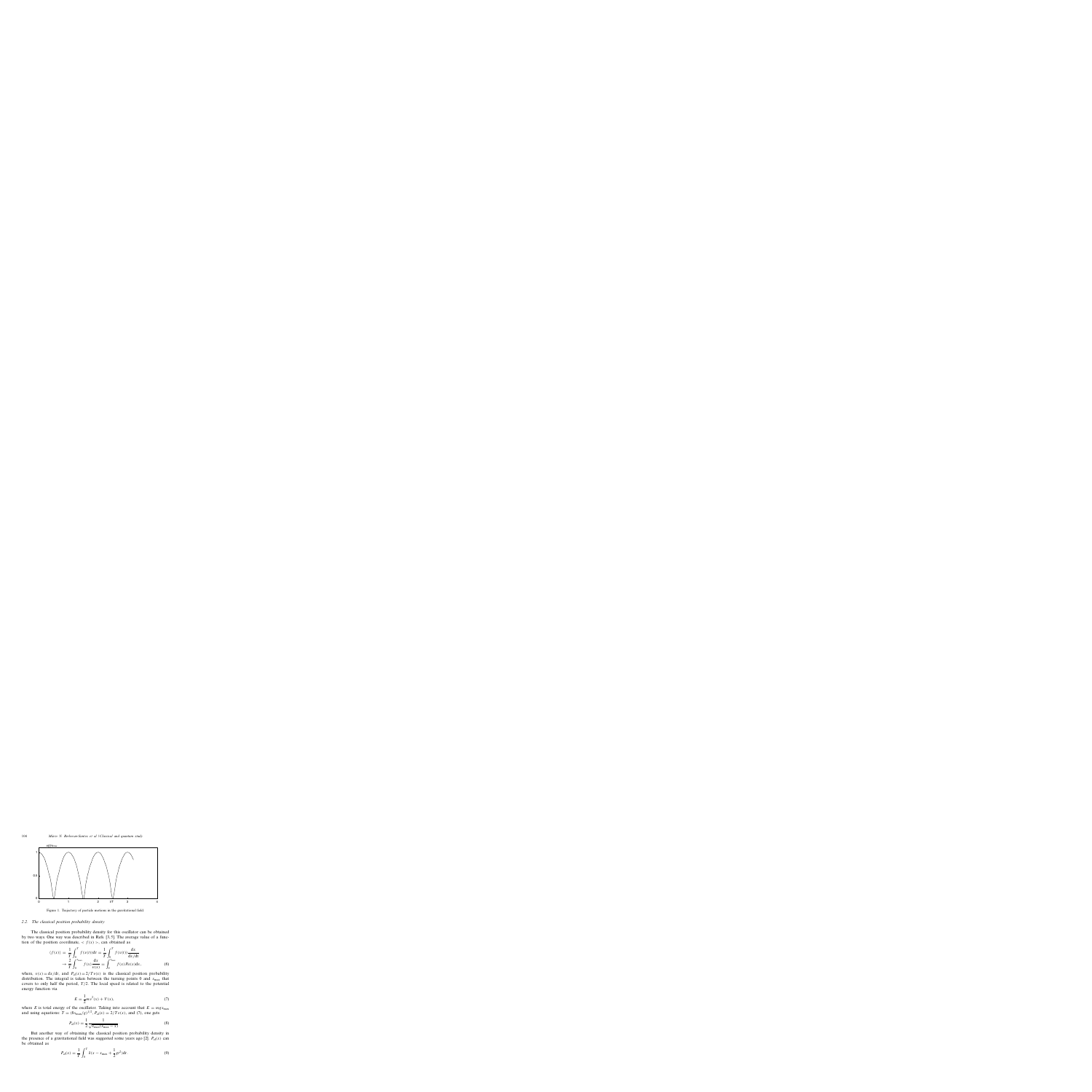

Figure 1. Trajectory of particle motions in the gravitational field.

## *2.2. The classical position probability density*

The classical position probability density for this oscillator can be obtained by two ways. One way was described in Refs. [3, 5]. The average value of a function of the position coordinate,  $\langle f(x) \rangle$ , can obtained as

$$
\langle f(x) \rangle = \frac{1}{T} \int_0^T f(x(t)) dt = \frac{1}{T} \int_0^T f(x(t)) \frac{dx}{dx/dt}
$$

$$
\to \frac{2}{T} \int_0^{x_{\text{max}}} f(x) \frac{dx}{v(x)} = \int_0^{x_{\text{max}}} f(x) P_{\text{cl}}(x) dx, \tag{6}
$$

where,  $v(x) = dx/dt$ , and  $P_c(x) = 2/Tv(x)$  is the classical position probability<br>distribution. The integral is taken between the turning points 0 and x distribution. The integral is taken between the turning points 0 and  $x_{\text{max}}$  that covers to only half the period,  $T/2$ . The local speed is related to the potential energy function via

$$
E = \frac{1}{2}mv^2(x) + V(x),
$$
\n(7)

where *E* is total energy of the oscillator. Taking into account that  $E = mgx_{\text{max}}$ <br>and using equations:  $T = (8x - (a)^{1/2} P_1(x) - 2/Tv(x))$  and (7) one gets and using equations:  $T = (8x_{\text{max}}/g)^{1/2}$ ,  $P_{\text{cl}}(x) = 2/Tv(x)$ , and (7), one gets

$$
P_{\rm cl}(x) = \frac{1}{2} \frac{1}{\sqrt{x_{\rm max}(x_{\rm max} - x)}}.
$$
 (8)

But another way of obtaining the classical position probability density in the presence of a gravitational field was suggested some years ago [2].  $P_{cl}(x)$  can be obtained as

$$
P_{\rm cl}(x) = \frac{1}{T} \int_0^T \delta(x - x_{\rm max} + \frac{1}{2}gt^2) \mathrm{d}t. \tag{9}
$$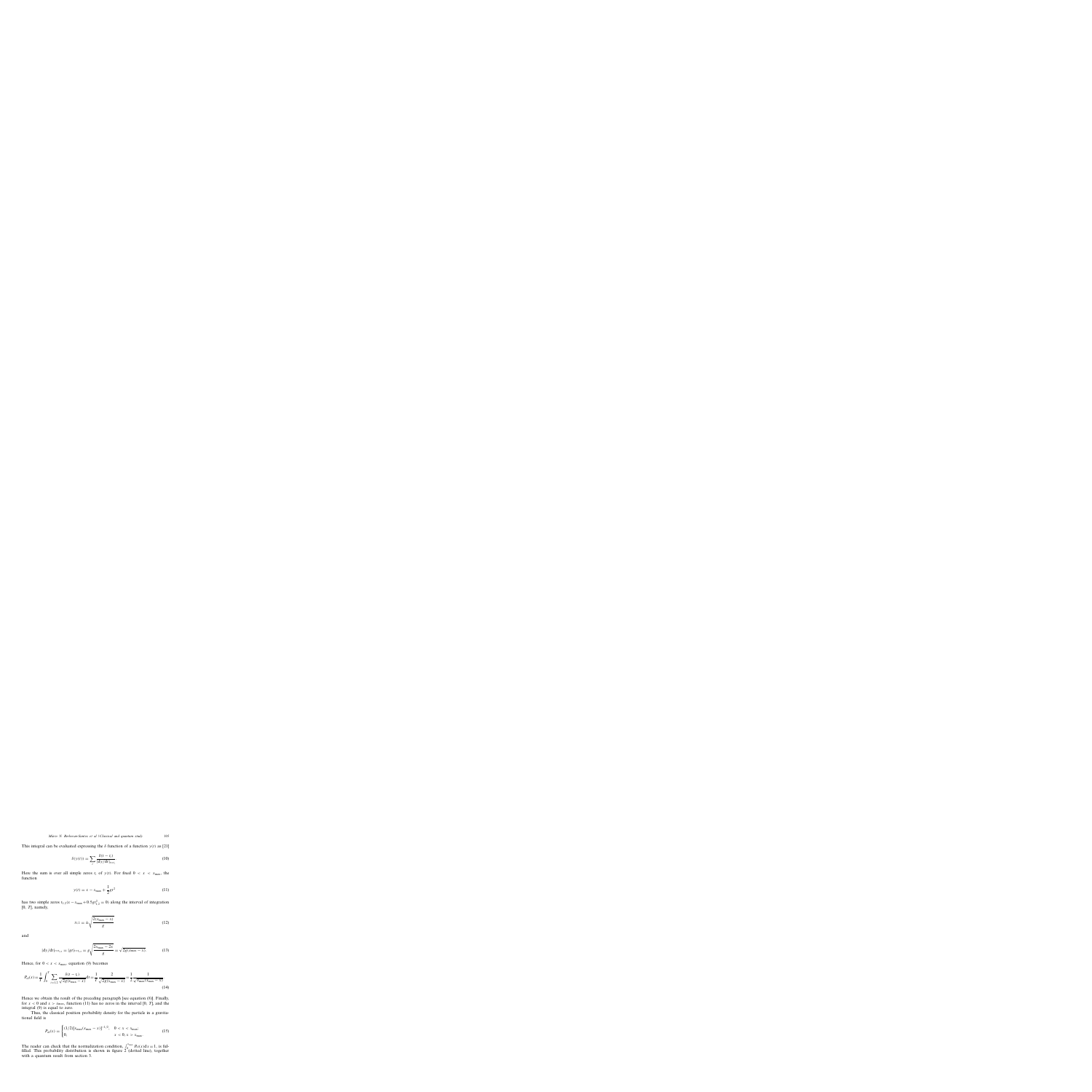This integral can be evaluated expressing the  $\delta$  function of a function  $y(t)$  as [21]

$$
\delta(y(t)) = \sum_{i} \frac{\delta(t - t_i)}{|\mathrm{d}y/\mathrm{d}t|_{t = t_i}}.\tag{10}
$$

Here the sum is over all simple zeros  $t_i$  of  $y(t)$ . For fixed  $0 < x < x_{\text{max}}$ , the function

$$
y(t) = x - x_{\text{max}} + \frac{1}{2}gt^2
$$
 (11)

has two simple zeros  $t_{1,2}(x - x_{\text{max}} + 0.5gt_{1,2}^2 = 0)$  along the interval of integration  $T_1$  namely [0, *T*], namely,

$$
t_{1,2} = \pm \sqrt{\frac{2(x_{\text{max}} - x)}{g}}
$$
 (12)

and

$$
|dy/dt|_{t=t_{1,2}} = |gt|_{t=t_{1,2}} = g\sqrt{\frac{2x_{\text{max}} - 2x}{g}} = \sqrt{2g(x_{\text{max}} - x)}.
$$
 (13)

Hence, for  $0 < x < x_{\text{max}}$ , equation (9) becomes

$$
P_{\rm cl}(x) = \frac{1}{T} \int_0^T \sum_{i=1,2} \frac{\delta(t - t_i)}{\sqrt{2g(x_{\rm max} - x)}} dt = \frac{1}{T} \frac{2}{\sqrt{2g(x_{\rm max} - x)}} = \frac{1}{2} \frac{1}{\sqrt{x_{\rm max}(x_{\rm max} - x)}}.
$$
\n(14)

Hence we obtain the result of the preceding paragraph [see equation (8)]. Finally, for  $x < 0$  and  $x > x_{\text{max}}$ , function (11) has no zeros in the interval [0, *T*], and the integral (9) is equal to zero.

Thus, the classical position probability density for the particle in a gravitational field is

$$
P_{\rm cl}(x) = \begin{cases} (1/2)[x_{\rm max}(x_{\rm max} - x)]^{-1/2}, & 0 < x < x_{\rm max};\\ 0, & x < 0, x > x_{\rm max}. \end{cases} \tag{15}
$$

The reader can check that the normalization condition,  $\int_0^{x_{\text{max}}} P_{\text{cl}}(x) dx = 1$ , is ful-<br>filled. This probability distribution is shown in figure 2 (dotted line), together filled. This probability distribution is shown in figure 2 (dotted line), together with a quantum result from section 3.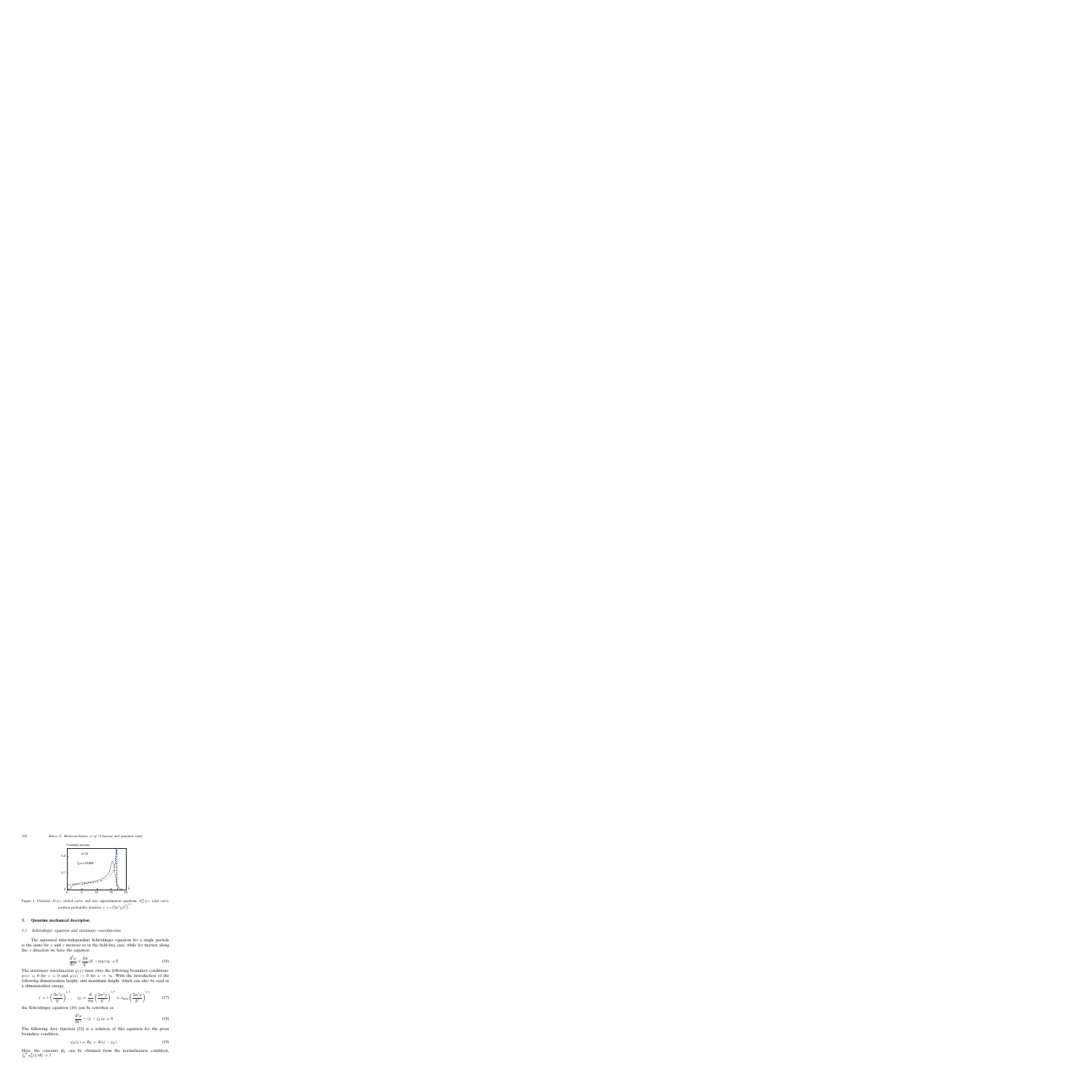

Figure 2. Classical,  $P_{cl}(\zeta)$ , dotted curve, and zero approximation quantum,  $P_{qu}^{(0)}(\zeta)$ , solid curve, position probability densities.  $\zeta = x \left( 2m^2 g / \hbar^2 \right)^{1/3}$ .

## **3. Quantum mechanical description**

#### *3.1. Schrodinger equation and stationary wavefunction ¨*

The separated time-independent Schrödinger equation for a single particle is the same for *y* and *z* motions as in the field-free case, while for motion along the *x* direction we have the equation

$$
\frac{d^2\varphi}{dx^2} + \frac{2m}{\hbar^2}(E - mgx)\varphi = 0.
$$
 (16)

The stationary wavefunction  $\varphi(x)$  must obey the following boundary conditions:  $\varphi(x) = 0$  for  $x = 0$  and  $\varphi(x) \to 0$  for  $x \to \infty$ . With the introduction of the following dimensionless height, and maximum height, which can also be read as a dimensionless energy,

$$
\zeta = x \left(\frac{2m^2 g}{\hbar^2}\right)^{1/3}, \quad \zeta_E = \frac{E}{mg} \left(\frac{2m^2 g}{\hbar^2}\right)^{1/3} = x_{\text{max}} \left(\frac{2m^2 g}{\hbar^2}\right)^{1/3} \tag{17}
$$

the Schrödinger equation  $(16)$  can be rewritten as

$$
\frac{\mathrm{d}^2 \varphi}{\mathrm{d}\zeta^2} - (\zeta - \zeta_E)\varphi = 0. \tag{18}
$$

The following Airy function [21] is a solution of this equation for the given boundary condition,

$$
\varphi_E(\zeta) = B_E \times Ai(\zeta - \zeta_E). \tag{19}
$$

Here, the constant  $B_E$  can be obtained from the normalization condition,  $\int_0^\infty \varphi_E^2(\zeta) d\zeta = 1.$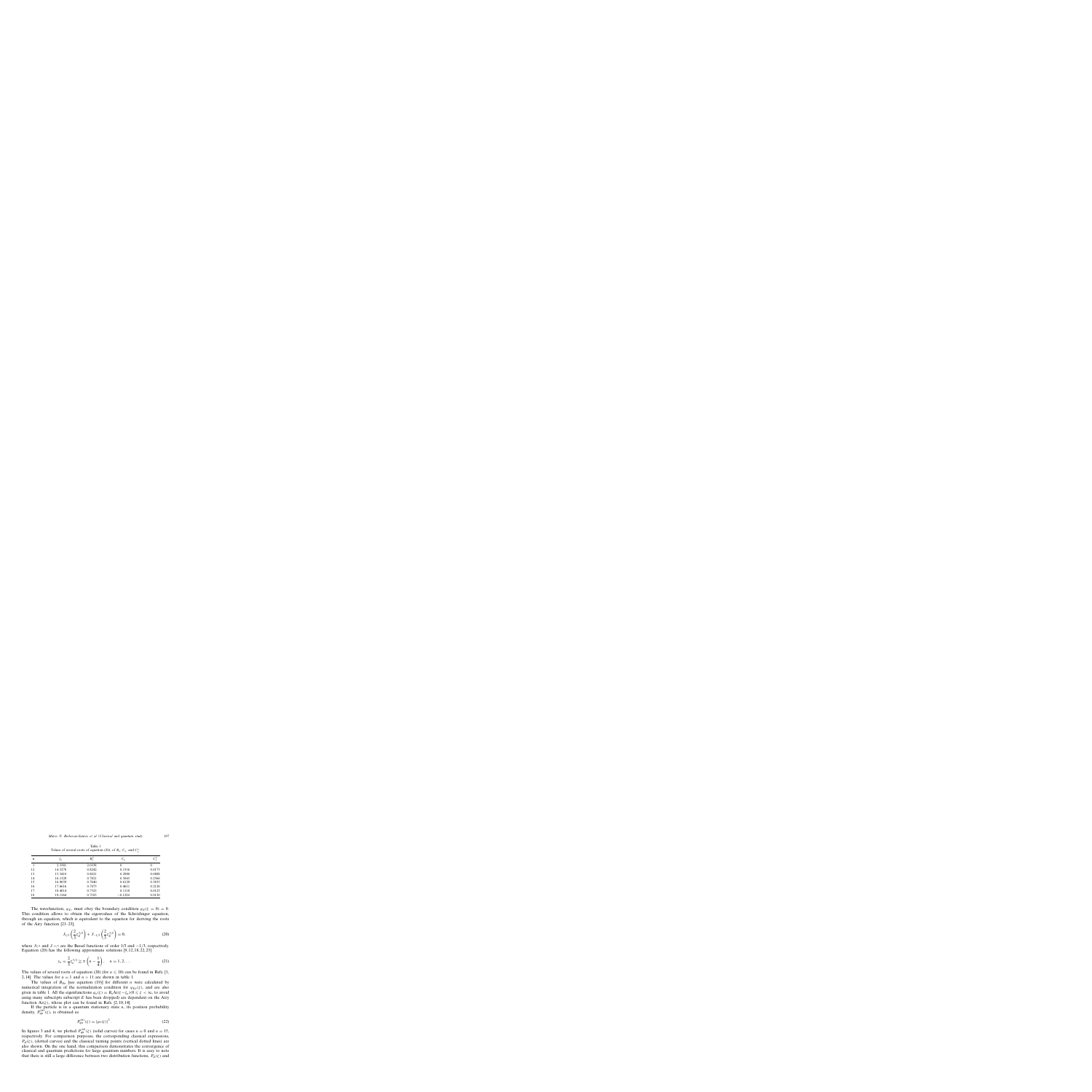| n  | $\zeta_n$ | $B_n^2$ | $C_n$     | $C_n^2$  |  |
|----|-----------|---------|-----------|----------|--|
|    | 2.3381    | 2.0338  | $\theta$  | $\theta$ |  |
| 12 | 14.5278   | 0.8242  | 0.1316    | 0.0173   |  |
| 13 | 15.3410   | 0.8021  | 0.2980    | 0.0888   |  |
| 14 | 16.1329   | 0.7821  | 0.5065    | 0.2566   |  |
| 15 | 16.9059   | 0.7640  | 0.6129    | 0.3835   |  |
| 16 | 17.6616   | 0.7475  | 0.4611    | 0.2126   |  |
| 17 | 18.4014   | 0.7323  | 0.1118    | 0.0125   |  |
| 18 | 19.1264   | 0.7183  | $-0.1224$ | 0.0150   |  |

Table 1 Values of several roots of equation (20), of  $B_n$ ,  $C_n$ , and  $C_n^2$ .

The wavefunction,  $\varphi_E$ , must obey the boundary condition  $\varphi_E(\zeta = 0) = 0$ . This condition allows to obtain the eigenvalues of the Schrödinger equation, through an equation, which is equivalent to the equation for deriving the roots of the Airy function [21–23],

$$
J_{1/3}\left(\frac{2}{3}\zeta_E^{3/2}\right) + J_{-1/3}\left(\frac{2}{3}\zeta_E^{3/2}\right) = 0,\tag{20}
$$

where  $J_{1/3}$  and  $J_{-1/3}$  are the Bessel functions of order 1/3 and  $-1/3$ , respectively. Equation (20) has the following approximate solutions [9, 12, 18, 22, 23]

$$
y_n = \frac{2}{3} \zeta_n^{3/2} \cong \pi \left( n - \frac{1}{4} \right), \quad n = 1, 2, \dots
$$
 (21)

The values of several roots of equation (20) (for  $n \le 10$ ) can be found in Refs. [1, 2, 14]. The values for  $n = 1$  and  $n > 11$  are shown in table 1.

The values of  $B_{En}$  [see equation (19)] for different *n* were calculated by numerical integration of the normalization condition for  $\varphi_{En}(\zeta)$ , and are also given in table 1. All the eigenfunctions  $\varphi_n(\zeta) = B_n \text{Ai}(\zeta - \zeta_n)(0 \leq \zeta < \infty$ , to avoid using many subscripts subscript  $E$  has been dropped) are dependent on the Airy function  $Ai(\zeta)$ , whose plot can be found in Refs. [2, 10, 14].

If the particle is in a quantum stationary state  $n$ , its position probability density,  $P_{\text{qu}}^{\text{(st)}}(\zeta)$ , is obtained as

$$
P_{\rm qu}^{(\rm st)}(\zeta) = |\varphi_n(\zeta)|^2. \tag{22}
$$

In figures 3 and 4, we plotted  $P_{qu}^{(st)}(\zeta)$  (solid curves) for cases  $n = 0$  and  $n = 15$ , respectively. For comparison purposes, the corresponding classical expressions respectively. For comparison purposes, the corresponding classical expressions,  $P_{\rm cl}(\zeta)$ , (dotted curves) and the classical turning points (vertical dotted lines) are also shown. On the one hand, this comparison demonstrates the convergence of classical and quantum predictions for large quantum numbers. It is easy to note that there is still a large difference between two distribution functions,  $P_{cl}(\zeta)$  and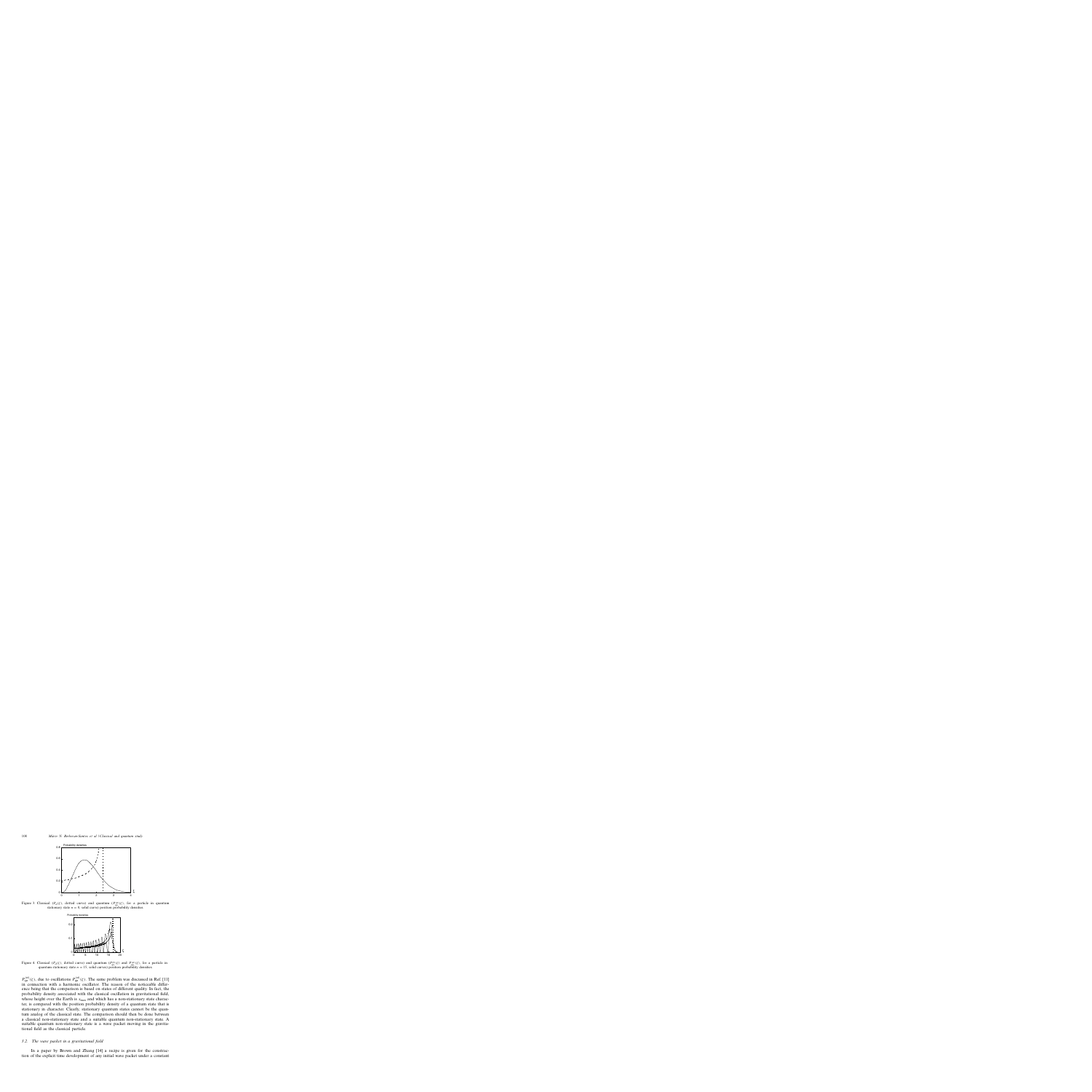

Figure 3. Classical ( $P_{\text{cl}}(\zeta)$ , dotted curve) and quantum ( $P_{\text{qu}}^{(\text{st})}(\zeta)$ , for a particle in quantum stationary state  $n = 0$ , solid curve) position probability densities.



Figure 4. Classical ( $P_{\text{cl}}(\zeta)$ , dotted curve) and quantum ( $P_{\text{qu}}^{(0)}(\zeta)$  and  $P_{\text{qu}}^{(\text{st})}(\zeta)$ , for a particle in quantum stationary state  $n = 15$ , solid curves) position probability densities.

 $P_{\text{qu}}^{\text{(st)}}(\zeta)$ , due to oscillations  $P_{\text{qu}}^{\text{(st)}}(\zeta)$ . The same problem was discussed in Ref. [11] in connection with a harmonic oscillator. The reason of the noticeable differin connection with a harmonic oscillator. The reason of the noticeable difference being that the comparison is based on states of different quality. In fact, the probability density associated with the classical oscillation in gravitational field, whose height over the Earth is  $x_{\text{max}}$  and which has a non-stationary state character, is compared with the position probability density of a quantum state that is stationary in character. Clearly, stationary quantum states cannot be the quantum analog of the classical state. The comparison should then be done between a classical non-stationary state and a suitable quantum non-stationary state. A suitable quantum non-stationary state is a wave packet moving in the gravitational field as the classical particle.

#### *3.2. The wave packet in a gravitational field*

In a paper by Brown and Zhang [14] a recipe is given for the constraction of the explicit time development of any initial wave packet under a constant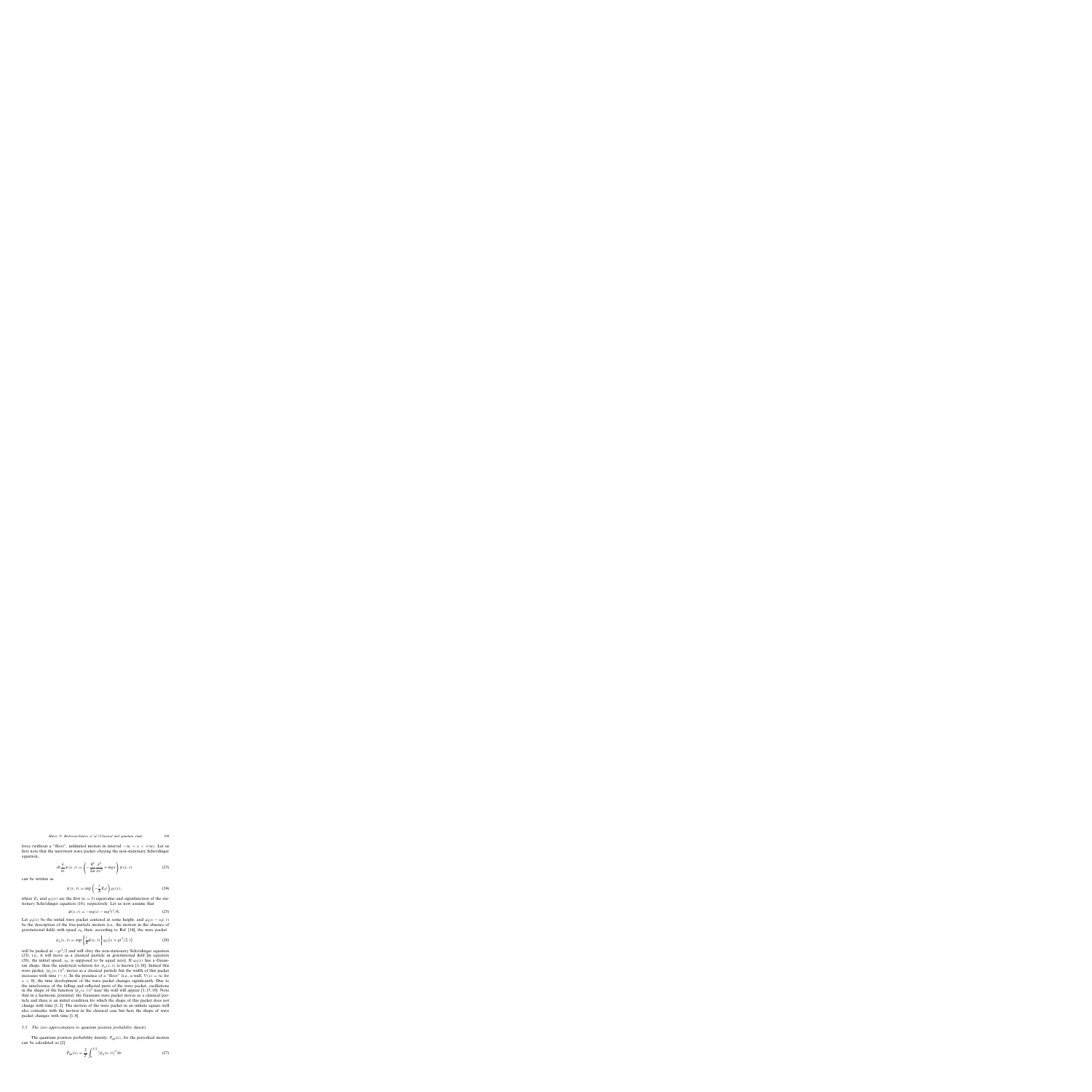force (without a "floor", unlimited motion in interval  $-\infty < x < +\infty$ ). Let us first note that the narrowest wave packet obeying the non-stationary Schrödinger equation,

$$
i\hbar \frac{\partial}{\partial t}\psi(x,t) = \left(-\frac{\hbar^2}{2m}\frac{\partial^2}{\partial x^2} + mgx\right)\psi(x,t)
$$
 (23)

can be written as

$$
\psi(x,t) = \exp\left(-\frac{i}{\hbar}E_1t\right)\varphi_1(x),\tag{24}
$$

where  $E_1$  and  $\varphi_1(x)$  are the first  $(n = 1)$  eigenvalue and eigenfunction of the stationary Schrödinger equation  $(16)$ , respectively. Let us now assume that

$$
\phi(x,t) = -mgxt - mg^2t^3/6,
$$
\n(25)

Let  $\varphi_0(x)$  be the initial wave packet centered at some height, and  $\varphi_0(x - v_0t, t)$ be the description of the free-particle motion (i.e., the motion in the absence of gravitational field) with speed  $v_0$ , then, according to Ref. [14], the wave packet

$$
\psi_g(x,t) = \exp\left\{\frac{i}{\hbar}\phi(x,t)\right\}\varphi_0\left(x+gt^2/2,t\right) \tag{26}
$$

will be peaked at  $-gt^2/2$  and will obey the non-stationary Schrödinger equation (23), i.e., it will move as a classical particle in gravitational field [in equation (26), the initial speed,  $v_0$ , is supposed to be equal zero]. If  $\varphi_0(x)$  has a Gaussian shape, then the analytical solution for  $\psi_g(x, t)$  is known [1,16]. Indeed this wave packet,  $|\psi_g(x, t)|^2$ , moves as a classical particle but the width of this packet<br>increases with time  $(\infty t)$ . In the presence of a "floor" (i.e., a wall,  $V(x) = \infty$  for increases with time ( $\sim t$ ). In the presence of a "floor" (i.e., a wall,  $V(x) = \infty$  for  $x < 0$ , the time development of the wave packet changes significantly. Due to the interference of the falling and reflected parts of the wave packet, oscillations in the shape of the function  $|\psi_g(x, t)|^2$  near the wall will appear [1,15,16]. Note<br>that in a harmonic potential, the Gaussian wave packet moves as a classical parthat in a harmonic potential, the Gaussian wave packet moves as a classical particle and there is an initial condition for which the shape of this packet does not change with time  $[1, 2]$ . The motion of the wave packet in an infinite square well also coincides with the motion in the classical case but here the shape of wave packet changes with time [1, 4].

#### *3.3. The zero approximation to quantum position probability density*

The quantum position probability density,  $P_{qu}(x)$ , for the periodical motion can be calculated as [2]

$$
P_{\rm qu}(x) = \frac{2}{T} \int_0^{T/2} |\psi_q(x, t)|^2 dt.
$$
 (27)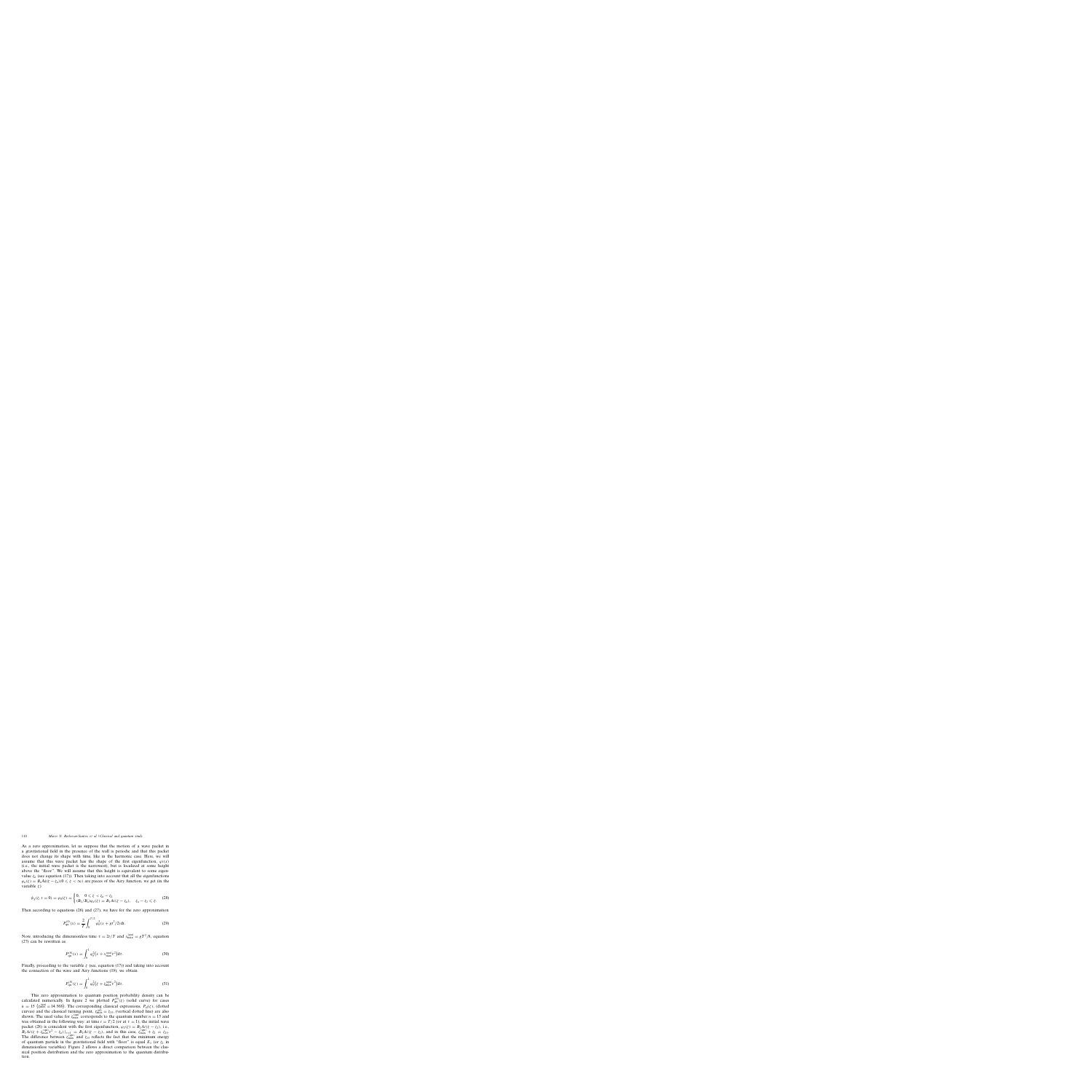As a zero approximation, let us suppose that the motion of a wave packet in a gravitational field in the presence of the wall is periodic and that this packet does not change its shape with time, like in the harmonic case. Here, we will assume that this wave packet has the shape of the first eigenfunction,  $\varphi_1(x)$ (i.e., the initial wave packet is the narrowest), but is localized at some height above the "floor". We will assume that this height is equivalent to some eigenvalue  $\zeta_n$  (see equation (17)). Then taking into account that all the eigenfunctions  $\varphi_n(\zeta) = B_n \text{Ai}(\zeta - \zeta_n)(0 \leq \zeta < \infty)$  are pieces of the Airy function, we get (in the variable  $\zeta$ )

$$
\psi_{g}(\zeta, t = 0) = \varphi_{0}(\zeta) = \begin{cases} 0, & 0 \leq \zeta < \zeta_{n} - \zeta_{1} \\ (B_{1}/B_{n})\varphi_{n}(\zeta) = B_{1}Ai(\zeta - \zeta_{n}), & \zeta_{n} - \zeta_{1} \leq \zeta. \end{cases} \tag{28}
$$

Then according to equations (26) and (27), we have for the zero approximation

$$
P_{\rm qu}^{(0)}(x) = \frac{2}{T} \int_0^{T/2} \varphi_0^2(x + gt^2/2) \mathrm{d}t. \tag{29}
$$

Now, introducing the dimensionless time  $\tau = 2t/T$  and  $x_{\text{max}}^{\text{(qu)}} = gT^2/8$ , equation (27) can be rewritten as

$$
P_{\rm qu}^{(0)}(x) = \int_0^1 \varphi_0^2 \big( x + x_{\rm max}^{\rm (qu)} \tau^2 \big) d\tau.
$$
 (30)

Finally, proceeding to the variable  $\zeta$  (see, equation (17)) and taking into account the connection of the wave and Airy functions (19), we obtain

$$
P_{\rm qu}^{(0)}(\zeta) = \int_0^1 \varphi_0^2(\zeta + \zeta_{\rm max}^{\rm (qu)} \tau^2) d\tau.
$$
 (31)

This zero approximation to quantum position probability density can be calculated numerically. In figure 2 we plotted  $P_{\text{qu}}^{(0)}(\zeta)$  (solid curve) for cases<br> $p = 15$  ( $\zeta^{(\text{qu})} = 14.568$ ). The corresponding classical expressions,  $P_{\zeta}(\zeta)$  (dotted  $n = 15$  ( $\zeta_{\text{max}}^{(\text{qu})} = 14.568$ ). The corresponding classical expressions,  $P_{\text{cl}}(\zeta)$ , (dotted arrival) and the classical turning point,  $\zeta^{(\text{cl})} = \zeta$ , (vertical dotted line) are also curves) and the classical turning point,  $\zeta_{\text{max}}^{(c)} = \zeta_{15}$ , (vertical dotted line) are also shown. The used value for  $\zeta_{\text{max}}^{(qu)}$  corresponds to the quantum number  $n = 15$  and was obtained in the following way: at time  $t = T/2$  (or at  $\tau = 1$ ), the initial wave packet (28) is coincident with the first eigenfunction,  $\varphi_1(\zeta) = B_1 Ai(\zeta - \zeta_1)$ , i.e., packet (28) is coincident with the first eigenfunction,  $\varphi_1(\zeta) = B_1 Ai(\zeta - \zeta_1)$ , i.e.,<br>B.  $Ai(\zeta + \zeta^{(qu)} \tau^2 - \zeta) |_{\zeta} = B_1 Ai(\zeta - \zeta_1)$  and in this case  $\zeta^{(qu)} + \zeta_1 = \zeta_2$ .  $B_1Ai(\zeta + \zeta_{\text{max}}^{(qu)}\tau^2 - \zeta_n)|_{\tau=1} = B_1Ai(\zeta - \zeta_1)$ , and in this case,  $\zeta_{\text{max}}^{(qu)} + \zeta_1 = \zeta_{15}$ .<br>The difference between  $\zeta^{(qu)}$  and  $\zeta_{15}$  reflects the fact that the minimum energy The difference between  $\zeta_{\text{max}}^{\text{(qu)}}$  and  $\zeta_{15}$  reflects the fact that the minimum energy of quantum particle in the gravitational field with "floor" is equal  $F_1$  (or  $\zeta_1$  in of quantum particle in the gravitational field with "floor" is equal  $E_1$  (or  $\zeta_1$  in dimensionless variables). Figure 2 allows a direct comparison between the classical position distribution and the zero approximation to the quantum distribution.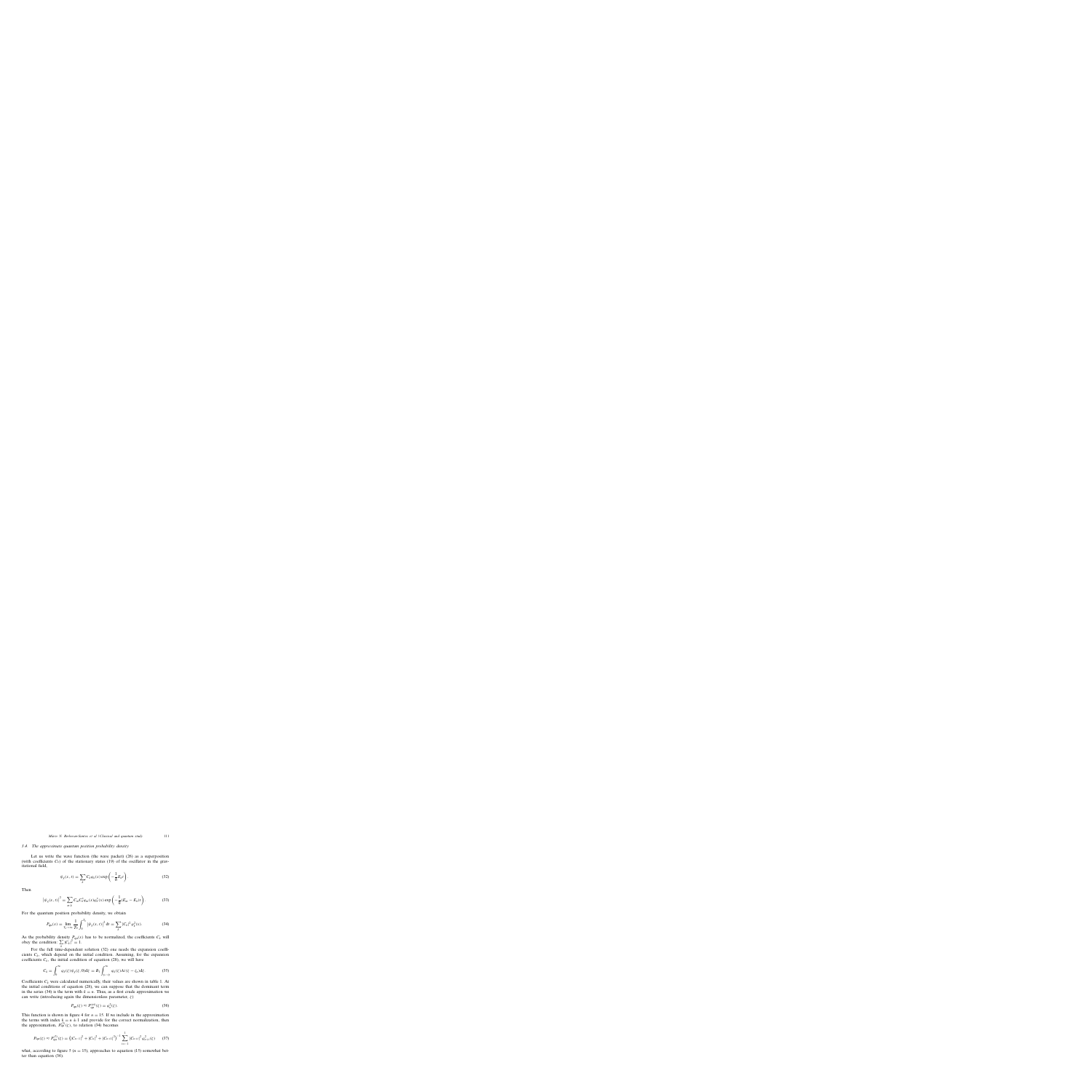## *3.4. The approximate quantum position probability density*

Let us write the wave function (the wave packet) (26) as a superposition (with coefficients  $C_k$ ) of the stationary states (19) of the oscillator in the gravitational field,

$$
\psi_g(x,t) = \sum_k C_k \varphi_k(x) \exp\left(-\frac{1}{\hbar} E_k t\right).
$$
 (32)

Then

$$
\left|\psi_g(x,t)\right|^2 = \sum_{m,k} C_m C_k^* \varphi_m(x) \varphi_k^*(x) \exp\left(-\frac{1}{\hbar}(E_m - E_k)t\right). \tag{33}
$$

For the quantum position probability density, we obtain

$$
P_{\rm qu}(x) = \lim_{T_0 \to \infty} \frac{1}{T_0} \int_0^{T_0} \left| \psi_g(x, t) \right|^2 \mathrm{d}t = \sum_k |C_k|^2 \, \varphi_k^2(x). \tag{34}
$$

As the probability density  $P_{qu}(x)$  has to be normalized, the coefficients  $C_k$  will obey the condition:  $\sum_{k} |C_k|^2 = 1$ .

For the full time-dependent solution (32) one needs the expansion coefficients  $C_k$ , which depend on the initial condition. Assuming, for the expansion coefficients  $C_k$ , the initial condition of equation (28), we will have

$$
C_k = \int_0^\infty \varphi_k(\zeta) \psi_g(\zeta, 0) d\zeta = B_1 \int_{\zeta_n - \zeta_1}^\infty \varphi_k(\zeta) Ai(\zeta - \zeta_n) d\zeta.
$$
 (35)

Coefficients  $C_k$  were calculated numerically, their values are shown in table 1. At the initial conditions of equation (28), we can suppose that the dominant term in the series (34) is the term with  $k = n$ . Thus, as a first crude approximation we can write (introducing again the dimensionless parameter,  $\zeta$ )

$$
P_{\rm qu}(\zeta) \approx P_{\rm qu}^{\rm (st)}(\zeta) = \varphi_n^2(\zeta). \tag{36}
$$

This function is shown in figure 4 for  $n = 15$ . If we include in the approximation the terms with index  $k = n \pm 1$  and provide for the correct normalization, then the approximation,  $P_{\rm qu}^{(3)}(\zeta)$ , to relation (34) becomes

$$
P_{\rm qu}(\zeta) \approx P_{\rm qu}^{(3)}(\zeta) = \left(|C_{n-1}|^2 + |C_n|^2 + |C_{n+1}|^2\right)^{-1} \sum_{i=-1}^1 |C_{n+i}|^2 \varphi_{n+i}^2(\zeta) \tag{37}
$$

what, according to figure 5 ( $n = 15$ ), approaches to equation (15) somewhat better than equation (36).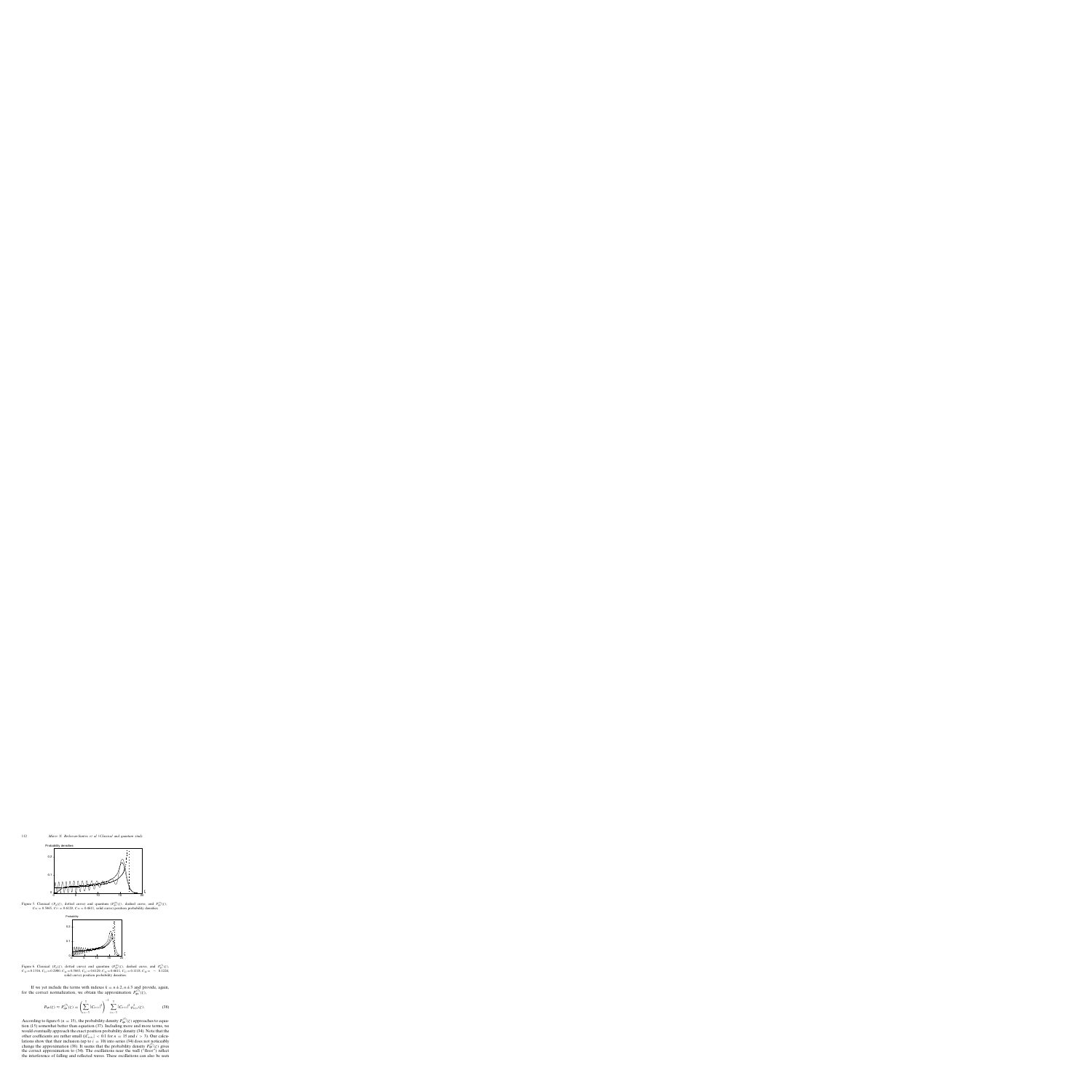

Figure 5. Classical ( $P_{\rm cl}(\zeta)$ , dotted curve) and quantum ( $P_{\rm q}^{(0)}(\zeta)$ , dashed curve, and  $P_{\rm qu}^{(3)}(\zeta)$ ,  $C_{\rm s} = 0.5065$ ,  $C_{\rm s} = 0.6129$ ,  $C_{\rm s} = 0.4611$ , solid curve) position probability densities  $C_{14} = 0.5065, C_{15} = 0.6129, C_{16} = 0.4611$ , solid curve) position probability densities.



Figure 6. Classical ( $P_{\text{cl}}(\zeta)$ , dotted curve) and quantum ( $P_{\text{qu}}^{(0)}(\zeta)$ , dashed curve, and  $P_{\text{qu}}^{(7)}(\zeta)$ ,  $C_{12} = 0.1316, C_{13} = 0.2980, C_{14} = 0.5065, C_{15} = 0.6129, C_{16} = 0.4611, C_{17} = 0.1118, C_{18} = -0.1224,$ solid curve) position probability densities.

If we yet include the terms with indexes  $k = n \pm 2$ ,  $n \pm 3$  and provide, again, for the correct normalization, we obtain the approximation  $P_{qu}^{(7)}(\zeta)$ ,

$$
P_{\rm qu}(\zeta) \approx P_{\rm qu}^{(7)}(\zeta) = \left(\sum_{i=-3}^{3} |C_{n+i}|^2\right)^{-1} \sum_{i=-3}^{3} |C_{n+i}|^2 \varphi_{n+i}^2(\zeta).
$$
 (38)

According to figure 6 ( $n = 15$ ), the probability density  $P_{\text{qu}}^{(7)}(\zeta)$  approaches to equation (15) somewhat better than equation (37). Including more and more terms, we tion (15) somewhat better than equation (37). Including more and more terms, we would eventually approach the exact position probability density (34). Note that the other coefficients are rather small ( $|C_{n\pm i}| < 0.1$  for  $n = 15$  and  $i > 3$ ). Our calculations show that their inclusion (up to  $i = 10$ ) into series (34) does not noticeably change the approximation (38). It seems that the probability density  $P_{\text{qu}}^{(7)}(\zeta)$  gives<br>the correct approximation to (34). The oscillations near the wall ("floor") reflect the correct approximation to (34). The oscillations near the wall ("floor") reflect the interference of falling and reflected waves. These oscillations can also be seen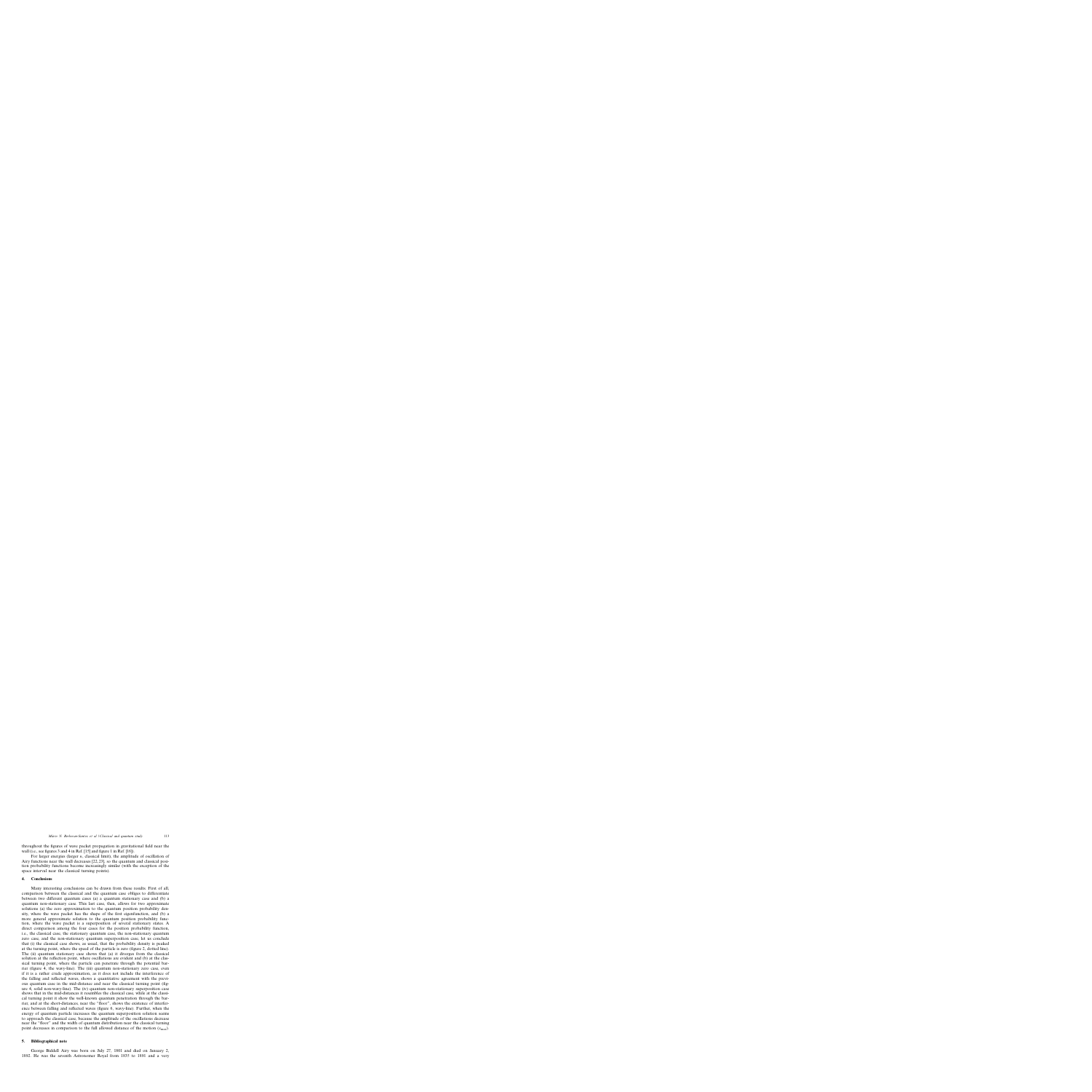throughout the figures of wave packet propagation in gravitational field near the wall (i.e., see figures 3 and 4 in Ref. [15] and figure 1 in Ref. [16]).

For larger energies (larger  $n$ , classical limit), the amplitude of oscillation of Airy functions near the wall decreases [22, 23], so the quantum and classical position probability functions become increasingly similar (with the exception of the space interval near the classical turning points).

## **4. Conclusions**

Many interesting conclusions can be drawn from these results. First of all, comparison between the classical and the quantum case obliges to differentiate between two different quantum cases (a) a quantum stationary case and (b) a quantum non-stationary case. This last case, then, allows for two approximate solutions (a) the zero approximation to the quantum position probability density, where the wave packet has the shape of the first eigenfunction, and (b) a more general approximate solution to the quantum position probability function, where the wave packet is a superposition of several stationary states. A direct comparison among the four cases for the position probability function, i.e., the classical case, the stationary quantum case, the non-stationary quantum zero case, and the non-stationary quantum superposition case, let us conclude that (i) the classical case shows, as usual, that the probability density is peaked at the turning point, where the speed of the particle is zero (figure 2, dotted line). The (ii) quantum stationary case shows that (a) it diverges from the classical solution at the reflection point, where oscillations are evident and (b) at the classical turning point, where the particle can penetrate through the potential barrier (figure 4, the wavy-line). The (iii) quantum non-stationary zero case, even if it is a rather crude approximation, as it does not include the interference of the falling and reflected waves, shows a quantitative agreement with the previous quantum case in the mid-distance and near the classical turning point (figure 4, solid non-wavy-line). The (iv) quantum non-stationary superposition case shows that in the mid-distances it resembles the classical case, while at the classical turning point it show the well-known quantum penetration through the barrier, and at the short-distances, near the "floor", shows the existence of interference between falling and reflected waves (figure 6, wavy-line). Further, when the energy of quantum particle increases the quantum superposition solution seems to approach the classical case, because the amplitude of the oscillations decrease near the "floor" and the width of quantum distribution near the classical turning point decreases in comparison to the full allowed distance of the motion  $(x_{\text{max}})$ .

#### **5. Bibliographical note**

George Biddell Airy was born on July 27, 1801 and died on January 2, 1892. He was the seventh Astronomer Royal from 1835 to 1891 and a very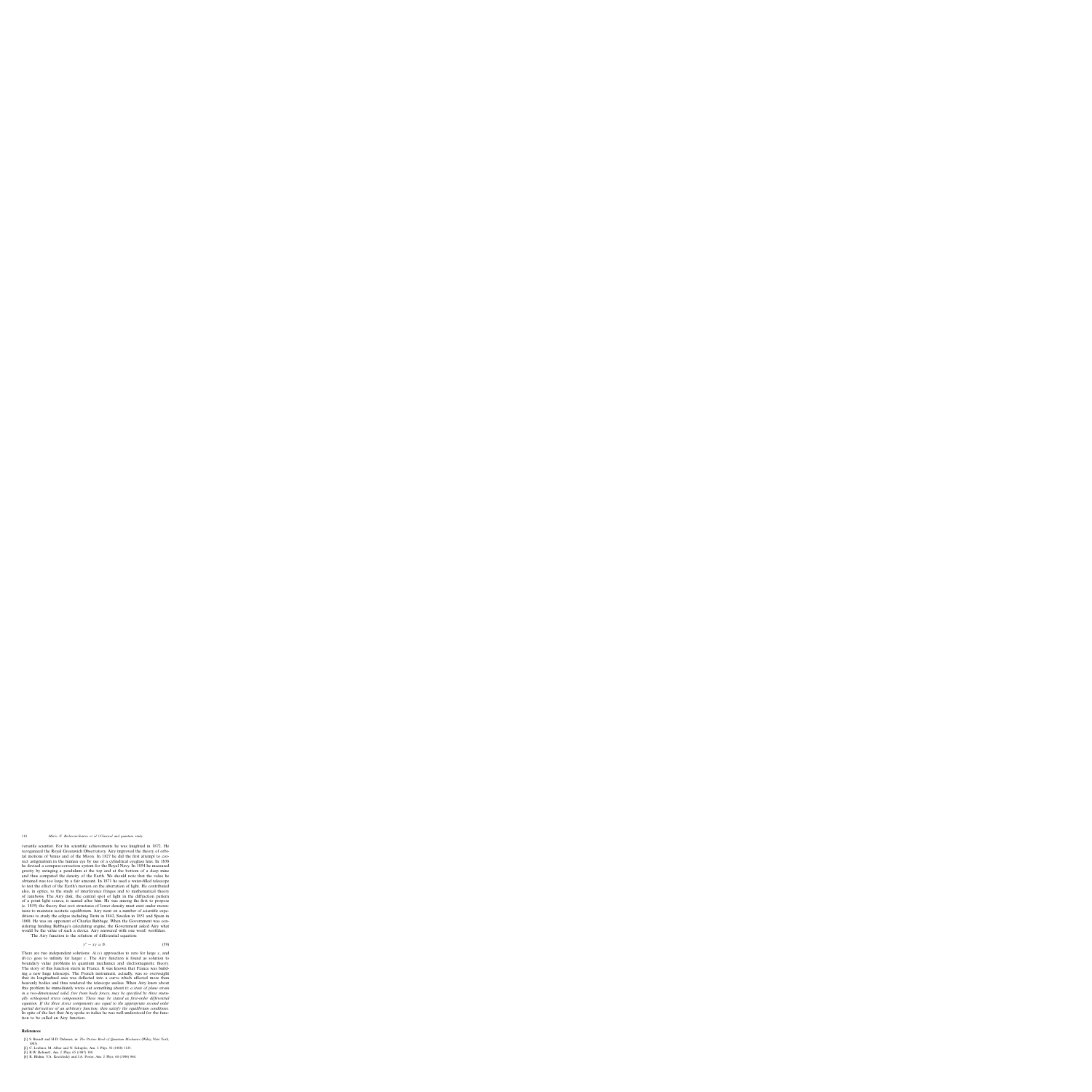versatile scientist. For his scientific achievements he was knighted in 1872. He reorganized the Royal Greenwich Observatory. Airy improved the theory of orbital motions of Venus and of the Moon. In 1827 he did the first attempt to correct astigmatism in the human eye by use of a cylindrical eyeglass lens. In 1838 he devised a compass-correction system for the Royal Navy. In 1854 he measured gravity by swinging a pendulum at the top and at the bottom of a deep mine and thus computed the density of the Earth. We should note that the value he obtained was too large by a fair amount. In 1871 he used a water-filled telescope to test the effect of the Earth's motion on the aberration of light. He contributed also, in optics, to the study of interference fringes and to mathematical theory of rainbows. The Airy disk, the central spot of light in the diffraction pattern of a point light source, is named after him. He was among the first to propose (c. 1855) the theory that root structures of lower density must exist under mountains to maintain isostatic equilibrium. Airy went on a number of scientific expeditions to study the eclipse including Turin in 1842, Sweden in 1851 and Spain in 1860. He was an opponent of Charles Babbage. When the Government was considering funding Babbage's calculating engine, the Government asked Airy what would be the value of such a device. Airy answered with one word: worthless.

The Airy function is the solution of differential equation:

$$
y'' - xy = 0.\t\t(39)
$$

There are two independent solutions:  $Ai(x)$  approaches to zero for large x, and  $Bi(x)$  goes to infinity for larger x. The Airy function is found as solution to boundary value problems in quantum mechanics and electromagnetic theory. The story of this function starts in France. It was known that France was building a new huge telescope. The French instrument, actually, was so overweight that its longitudinal axis was deflected into a curve which affected more than heavenly bodies and thus rendered the telescope useless. When Airy knew about this problem he immediately wrote out something about it: *a state of plane strain in a two-dimensional solid, free from body forces, may be specified by three mutually orthogonal stress components. These may be stated as first-order differential equation. If the three stress components are equal to the appropriate second order partial derivatives of an arbitrary function, then satisfy the equilibrium conditions.* In spite of the fact that Airy spoke in italics he was well-understood for the function to be called an Airy function.

#### **References**

- [1] S. Brandt and H.D. Dahmen, in: *The Picture Book of Quantum Mechanics* (Wiley, New York, 1985).
- [2] C. Leubner, M. Alber and N. Schupfer, Am. J. Phys. 56 (1988) 1123.
- [3] R.W. Robinett, Am. J. Phys. 65 (1997) 190.
- [4] R. Bluhm, V.A. Koctelecký and J.A. Porter, Am. J. Phys. 64 (1996) 944.